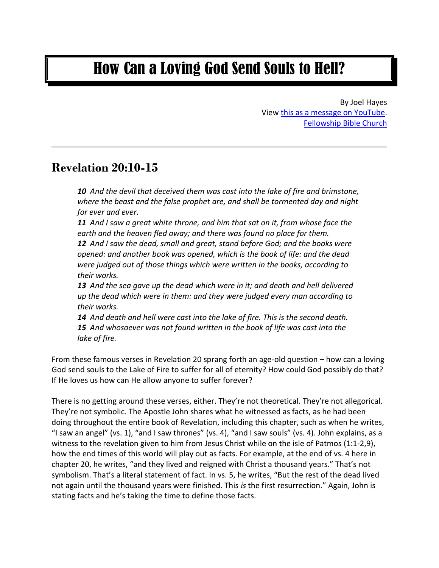# How Can a Loving God Send Souls to Hell?

By Joel Hayes View this as a [message on YouTube.](https://www.youtube.com/watch?v=L5Ev4ZFhOHc&t=309s) [Fellowship Bible Church](https://www.fellowshipbiblechurchorlando.org/)

#### **Revelation 20:10-15**

*10 And the devil that deceived them was cast into the lake of fire and brimstone, where the beast and the false prophet are, and shall be tormented day and night for ever and ever.*

*11 And I saw a great white throne, and him that sat on it, from whose face the earth and the heaven fled away; and there was found no place for them.* 

*12 And I saw the dead, small and great, stand before God; and the books were opened: and another book was opened, which is the book of life: and the dead were judged out of those things which were written in the books, according to their works.* 

*13 And the sea gave up the dead which were in it; and death and hell delivered up the dead which were in them: and they were judged every man according to their works.* 

*14 And death and hell were cast into the lake of fire. This is the second death. 15 And whosoever was not found written in the book of life was cast into the lake of fire.* 

From these famous verses in Revelation 20 sprang forth an age-old question – how can a loving God send souls to the Lake of Fire to suffer for all of eternity? How could God possibly do that? If He loves us how can He allow anyone to suffer forever?

There is no getting around these verses, either. They're not theoretical. They're not allegorical. They're not symbolic. The Apostle John shares what he witnessed as facts, as he had been doing throughout the entire book of Revelation, including this chapter, such as when he writes, "I saw an angel" (vs. 1), "and I saw thrones" (vs. 4), "and I saw souls" (vs. 4). John explains, as a witness to the revelation given to him from Jesus Christ while on the isle of Patmos (1:1-2,9), how the end times of this world will play out as facts. For example, at the end of vs. 4 here in chapter 20, he writes, "and they lived and reigned with Christ a thousand years." That's not symbolism. That's a literal statement of fact. In vs. 5, he writes, "But the rest of the dead lived not again until the thousand years were finished. This *is* the first resurrection." Again, John is stating facts and he's taking the time to define those facts.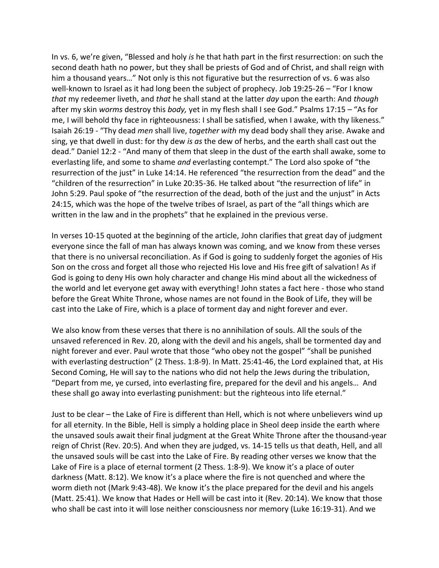In vs. 6, we're given, "Blessed and holy *is* he that hath part in the first resurrection: on such the second death hath no power, but they shall be priests of God and of Christ, and shall reign with him a thousand years…" Not only is this not figurative but the resurrection of vs. 6 was also well-known to Israel as it had long been the subject of prophecy. Job 19:25-26 – "For I know *that* my redeemer liveth, and *that* he shall stand at the latter *day* upon the earth: And *though* after my skin *worms* destroy this *body,* yet in my flesh shall I see God." Psalms 17:15 – "As for me, I will behold thy face in righteousness: I shall be satisfied, when I awake, with thy likeness." Isaiah 26:19 - "Thy dead *men* shall live, *together with* my dead body shall they arise. Awake and sing, ye that dwell in dust: for thy dew *is as* the dew of herbs, and the earth shall cast out the dead." Daniel 12:2 - "And many of them that sleep in the dust of the earth shall awake, some to everlasting life, and some to shame *and* everlasting contempt." The Lord also spoke of "the resurrection of the just" in Luke 14:14. He referenced "the resurrection from the dead" and the "children of the resurrection" in Luke 20:35-36. He talked about "the resurrection of life" in John 5:29. Paul spoke of "the resurrection of the dead, both of the just and the unjust" in Acts 24:15, which was the hope of the twelve tribes of Israel, as part of the "all things which are written in the law and in the prophets" that he explained in the previous verse.

In verses 10-15 quoted at the beginning of the article, John clarifies that great day of judgment everyone since the fall of man has always known was coming, and we know from these verses that there is no universal reconciliation. As if God is going to suddenly forget the agonies of His Son on the cross and forget all those who rejected His love and His free gift of salvation! As if God is going to deny His own holy character and change His mind about all the wickedness of the world and let everyone get away with everything! John states a fact here - those who stand before the Great White Throne, whose names are not found in the Book of Life, they will be cast into the Lake of Fire, which is a place of torment day and night forever and ever.

We also know from these verses that there is no annihilation of souls. All the souls of the unsaved referenced in Rev. 20, along with the devil and his angels, shall be tormented day and night forever and ever. Paul wrote that those "who obey not the gospel" "shall be punished with everlasting destruction" (2 Thess. 1:8-9). In Matt. 25:41-46, the Lord explained that, at His Second Coming, He will say to the nations who did not help the Jews during the tribulation, "Depart from me, ye cursed, into everlasting fire, prepared for the devil and his angels… And these shall go away into everlasting punishment: but the righteous into life eternal."

Just to be clear – the Lake of Fire is different than Hell, which is not where unbelievers wind up for all eternity. In the Bible, Hell is simply a holding place in Sheol deep inside the earth where the unsaved souls await their final judgment at the Great White Throne after the thousand-year reign of Christ (Rev. 20:5). And when they are judged, vs. 14-15 tells us that death, Hell, and all the unsaved souls will be cast into the Lake of Fire. By reading other verses we know that the Lake of Fire is a place of eternal torment (2 Thess. 1:8-9). We know it's a place of outer darkness (Matt. 8:12). We know it's a place where the fire is not quenched and where the worm dieth not (Mark 9:43-48). We know it's the place prepared for the devil and his angels (Matt. 25:41). We know that Hades or Hell will be cast into it (Rev. 20:14). We know that those who shall be cast into it will lose neither consciousness nor memory (Luke 16:19-31). And we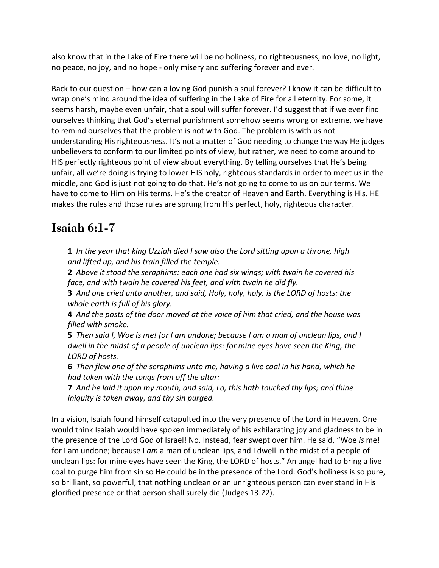also know that in the Lake of Fire there will be no holiness, no righteousness, no love, no light, no peace, no joy, and no hope - only misery and suffering forever and ever.

Back to our question – how can a loving God punish a soul forever? I know it can be difficult to wrap one's mind around the idea of suffering in the Lake of Fire for all eternity. For some, it seems harsh, maybe even unfair, that a soul will suffer forever. I'd suggest that if we ever find ourselves thinking that God's eternal punishment somehow seems wrong or extreme, we have to remind ourselves that the problem is not with God. The problem is with us not understanding His righteousness. It's not a matter of God needing to change the way He judges unbelievers to conform to our limited points of view, but rather, we need to come around to HIS perfectly righteous point of view about everything. By telling ourselves that He's being unfair, all we're doing is trying to lower HIS holy, righteous standards in order to meet us in the middle, and God is just not going to do that. He's not going to come to us on our terms. We have to come to Him on His terms. He's the creator of Heaven and Earth. Everything is His. HE makes the rules and those rules are sprung from His perfect, holy, righteous character.

## **Isaiah 6:1-7**

**1** *In the year that king Uzziah died I saw also the Lord sitting upon a throne, high and lifted up, and his train filled the temple.* 

**2** *Above it stood the seraphims: each one had six wings; with twain he covered his face, and with twain he covered his feet, and with twain he did fly.* 

**3** *And one cried unto another, and said, Holy, holy, holy, is the LORD of hosts: the whole earth is full of his glory.* 

**4** *And the posts of the door moved at the voice of him that cried, and the house was filled with smoke.* 

**5** *Then said I, Woe is me! for I am undone; because I am a man of unclean lips, and I dwell in the midst of a people of unclean lips: for mine eyes have seen the King, the LORD of hosts.* 

**6** *Then flew one of the seraphims unto me, having a live coal in his hand, which he had taken with the tongs from off the altar:* 

**7** *And he laid it upon my mouth, and said, Lo, this hath touched thy lips; and thine iniquity is taken away, and thy sin purged.* 

In a vision, Isaiah found himself catapulted into the very presence of the Lord in Heaven. One would think Isaiah would have spoken immediately of his exhilarating joy and gladness to be in the presence of the Lord God of Israel! No. Instead, fear swept over him. He said, "Woe *is* me! for I am undone; because I *am* a man of unclean lips, and I dwell in the midst of a people of unclean lips: for mine eyes have seen the King, the LORD of hosts." An angel had to bring a live coal to purge him from sin so He could be in the presence of the Lord. God's holiness is so pure, so brilliant, so powerful, that nothing unclean or an unrighteous person can ever stand in His glorified presence or that person shall surely die (Judges 13:22).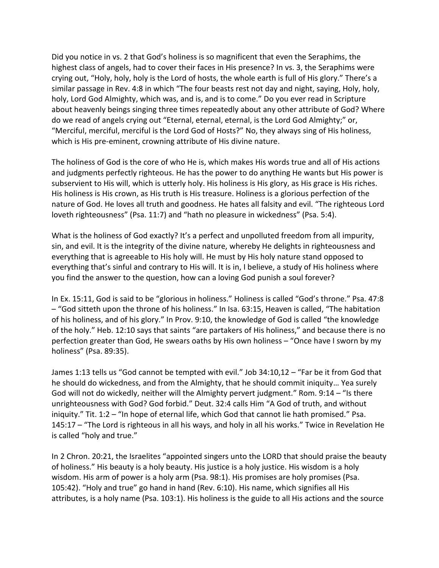Did you notice in vs. 2 that God's holiness is so magnificent that even the Seraphims, the highest class of angels, had to cover their faces in His presence? In vs. 3, the Seraphims were crying out, "Holy, holy, holy is the Lord of hosts, the whole earth is full of His glory." There's a similar passage in Rev. 4:8 in which "The four beasts rest not day and night, saying, Holy, holy, holy, Lord God Almighty, which was, and is, and is to come." Do you ever read in Scripture about heavenly beings singing three times repeatedly about any other attribute of God? Where do we read of angels crying out "Eternal, eternal, eternal, is the Lord God Almighty;" or, "Merciful, merciful, merciful is the Lord God of Hosts?" No, they always sing of His holiness, which is His pre-eminent, crowning attribute of His divine nature.

The holiness of God is the core of who He is, which makes His words true and all of His actions and judgments perfectly righteous. He has the power to do anything He wants but His power is subservient to His will, which is utterly holy. His holiness is His glory, as His grace is His riches. His holiness is His crown, as His truth is His treasure. Holiness is a glorious perfection of the nature of God. He loves all truth and goodness. He hates all falsity and evil. "The righteous Lord loveth righteousness" (Psa. 11:7) and "hath no pleasure in wickedness" (Psa. 5:4).

What is the holiness of God exactly? It's a perfect and unpolluted freedom from all impurity, sin, and evil. It is the integrity of the divine nature, whereby He delights in righteousness and everything that is agreeable to His holy will. He must by His holy nature stand opposed to everything that's sinful and contrary to His will. It is in, I believe, a study of His holiness where you find the answer to the question, how can a loving God punish a soul forever?

In Ex. 15:11, God is said to be "glorious in holiness." Holiness is called "God's throne." Psa. 47:8 – "God sitteth upon the throne of his holiness." In Isa. 63:15, Heaven is called, "The habitation of his holiness, and of his glory." In Prov. 9:10, the knowledge of God is called "the knowledge of the holy." Heb. 12:10 says that saints "are partakers of His holiness," and because there is no perfection greater than God, He swears oaths by His own holiness – "Once have I sworn by my holiness" (Psa. 89:35).

James 1:13 tells us "God cannot be tempted with evil." Job 34:10,12 – "Far be it from God that he should do wickedness, and from the Almighty, that he should commit iniquity… Yea surely God will not do wickedly, neither will the Almighty pervert judgment." Rom. 9:14 – "Is there unrighteousness with God? God forbid." Deut. 32:4 calls Him "A God of truth, and without iniquity." Tit. 1:2 – "In hope of eternal life, which God that cannot lie hath promised." Psa. 145:17 – "The Lord is righteous in all his ways, and holy in all his works." Twice in Revelation He is called "holy and true."

In 2 Chron. 20:21, the Israelites "appointed singers unto the LORD that should praise the beauty of holiness." His beauty is a holy beauty. His justice is a holy justice. His wisdom is a holy wisdom. His arm of power is a holy arm (Psa. 98:1). His promises are holy promises (Psa. 105:42). "Holy and true" go hand in hand (Rev. 6:10). His name, which signifies all His attributes, is a holy name (Psa. 103:1). His holiness is the guide to all His actions and the source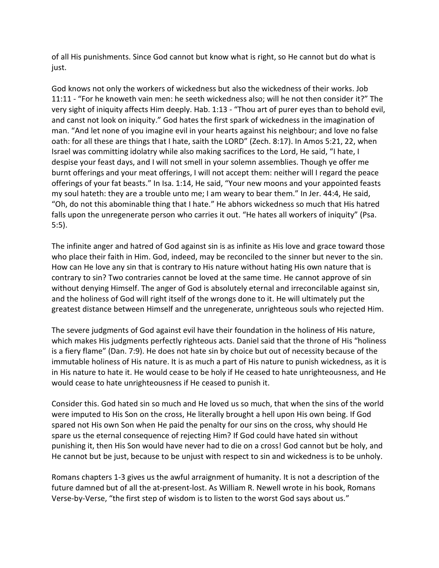of all His punishments. Since God cannot but know what is right, so He cannot but do what is just.

God knows not only the workers of wickedness but also the wickedness of their works. Job 11:11 - "For he knoweth vain men: he seeth wickedness also; will he not then consider it?" The very sight of iniquity affects Him deeply. Hab. 1:13 - "Thou art of purer eyes than to behold evil, and canst not look on iniquity." God hates the first spark of wickedness in the imagination of man. "And let none of you imagine evil in your hearts against his neighbour; and love no false oath: for all these are things that I hate, saith the LORD" (Zech. 8:17). In Amos 5:21, 22, when Israel was committing idolatry while also making sacrifices to the Lord, He said, "I hate, I despise your feast days, and I will not smell in your solemn assemblies. Though ye offer me burnt offerings and your meat offerings, I will not accept them: neither will I regard the peace offerings of your fat beasts." In Isa. 1:14, He said, "Your new moons and your appointed feasts my soul hateth: they are a trouble unto me; I am weary to bear them." In Jer. 44:4, He said, "Oh, do not this abominable thing that I hate." He abhors wickedness so much that His hatred falls upon the unregenerate person who carries it out. "He hates all workers of iniquity" (Psa. 5:5).

The infinite anger and hatred of God against sin is as infinite as His love and grace toward those who place their faith in Him. God, indeed, may be reconciled to the sinner but never to the sin. How can He love any sin that is contrary to His nature without hating His own nature that is contrary to sin? Two contraries cannot be loved at the same time. He cannot approve of sin without denying Himself. The anger of God is absolutely eternal and irreconcilable against sin, and the holiness of God will right itself of the wrongs done to it. He will ultimately put the greatest distance between Himself and the unregenerate, unrighteous souls who rejected Him.

The severe judgments of God against evil have their foundation in the holiness of His nature, which makes His judgments perfectly righteous acts. Daniel said that the throne of His "holiness is a fiery flame" (Dan. 7:9). He does not hate sin by choice but out of necessity because of the immutable holiness of His nature. It is as much a part of His nature to punish wickedness, as it is in His nature to hate it. He would cease to be holy if He ceased to hate unrighteousness, and He would cease to hate unrighteousness if He ceased to punish it.

Consider this. God hated sin so much and He loved us so much, that when the sins of the world were imputed to His Son on the cross, He literally brought a hell upon His own being. If God spared not His own Son when He paid the penalty for our sins on the cross, why should He spare us the eternal consequence of rejecting Him? If God could have hated sin without punishing it, then His Son would have never had to die on a cross! God cannot but be holy, and He cannot but be just, because to be unjust with respect to sin and wickedness is to be unholy.

Romans chapters 1-3 gives us the awful arraignment of humanity. It is not a description of the future damned but of all the at-present-lost. As William R. Newell wrote in his book, Romans Verse-by-Verse, "the first step of wisdom is to listen to the worst God says about us."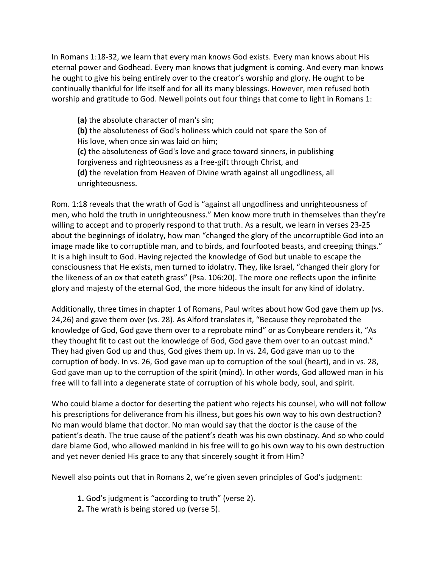In Romans 1:18-32, we learn that every man knows God exists. Every man knows about His eternal power and Godhead. Every man knows that judgment is coming. And every man knows he ought to give his being entirely over to the creator's worship and glory. He ought to be continually thankful for life itself and for all its many blessings. However, men refused both worship and gratitude to God. Newell points out four things that come to light in Romans 1:

**(a)** the absolute character of man's sin; **(b)** the absoluteness of God's holiness which could not spare the Son of His love, when once sin was laid on him; **(c)** the absoluteness of God's love and grace toward sinners, in publishing forgiveness and righteousness as a free-gift through Christ, and **(d)** the revelation from Heaven of Divine wrath against all ungodliness, all unrighteousness.

Rom. 1:18 reveals that the wrath of God is "against all ungodliness and unrighteousness of men, who hold the truth in unrighteousness." Men know more truth in themselves than they're willing to accept and to properly respond to that truth. As a result, we learn in verses 23-25 about the beginnings of idolatry, how man "changed the glory of the uncorruptible God into an image made like to corruptible man, and to birds, and fourfooted beasts, and creeping things." It is a high insult to God. Having rejected the knowledge of God but unable to escape the consciousness that He exists, men turned to idolatry. They, like Israel, "changed their glory for the likeness of an ox that eateth grass" (Psa. 106:20). The more one reflects upon the infinite glory and majesty of the eternal God, the more hideous the insult for any kind of idolatry.

Additionally, three times in chapter 1 of Romans, Paul writes about how God gave them up (vs. 24,26) and gave them over (vs. 28). As Alford translates it, "Because they reprobated the knowledge of God, God gave them over to a reprobate mind" or as Conybeare renders it, "As they thought fit to cast out the knowledge of God, God gave them over to an outcast mind." They had given God up and thus, God gives them up. In vs. 24, God gave man up to the corruption of body. In vs. 26, God gave man up to corruption of the soul (heart), and in vs. 28, God gave man up to the corruption of the spirit (mind). In other words, God allowed man in his free will to fall into a degenerate state of corruption of his whole body, soul, and spirit.

Who could blame a doctor for deserting the patient who rejects his counsel, who will not follow his prescriptions for deliverance from his illness, but goes his own way to his own destruction? No man would blame that doctor. No man would say that the doctor is the cause of the patient's death. The true cause of the patient's death was his own obstinacy. And so who could dare blame God, who allowed mankind in his free will to go his own way to his own destruction and yet never denied His grace to any that sincerely sought it from Him?

Newell also points out that in Romans 2, we're given seven principles of God's judgment:

- **1.** God's judgment is "according to truth" (verse 2).
- **2.** The wrath is being stored up (verse 5).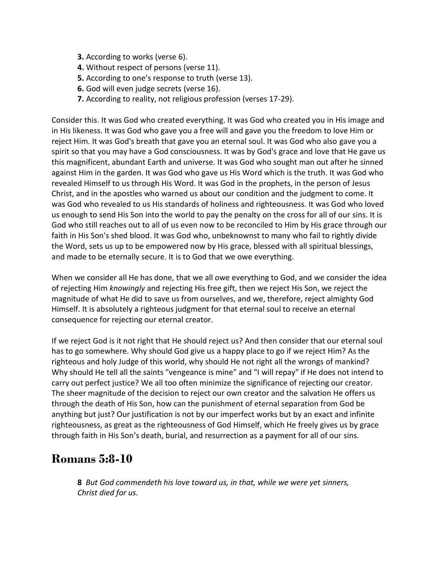- **3.** According to works (verse 6).
- **4.** Without respect of persons (verse 11).
- **5.** According to one's response to truth (verse 13).
- **6.** God will even judge secrets (verse 16).
- **7.** According to reality, not religious profession (verses 17-29).

Consider this. It was God who created everything. It was God who created you in His image and in His likeness. It was God who gave you a free will and gave you the freedom to love Him or reject Him. It was God's breath that gave you an eternal soul. It was God who also gave you a spirit so that you may have a God consciousness. It was by God's grace and love that He gave us this magnificent, abundant Earth and universe. It was God who sought man out after he sinned against Him in the garden. It was God who gave us His Word which is the truth. It was God who revealed Himself to us through His Word. It was God in the prophets, in the person of Jesus Christ, and in the apostles who warned us about our condition and the judgment to come. It was God who revealed to us His standards of holiness and righteousness. It was God who loved us enough to send His Son into the world to pay the penalty on the cross for all of our sins. It is God who still reaches out to all of us even now to be reconciled to Him by His grace through our faith in His Son's shed blood. It was God who, unbeknownst to many who fail to rightly divide the Word, sets us up to be empowered now by His grace, blessed with all spiritual blessings, and made to be eternally secure. It is to God that we owe everything.

When we consider all He has done, that we all owe everything to God, and we consider the idea of rejecting Him *knowingly* and rejecting His free gift, then we reject His Son, we reject the magnitude of what He did to save us from ourselves, and we, therefore, reject almighty God Himself. It is absolutely a righteous judgment for that eternal soul to receive an eternal consequence for rejecting our eternal creator.

If we reject God is it not right that He should reject us? And then consider that our eternal soul has to go somewhere. Why should God give us a happy place to go if we reject Him? As the righteous and holy Judge of this world, why should He not right all the wrongs of mankind? Why should He tell all the saints "vengeance is mine" and "I will repay" if He does not intend to carry out perfect justice? We all too often minimize the significance of rejecting our creator. The sheer magnitude of the decision to reject our own creator and the salvation He offers us through the death of His Son, how can the punishment of eternal separation from God be anything but just? Our justification is not by our imperfect works but by an exact and infinite righteousness, as great as the righteousness of God Himself, which He freely gives us by grace through faith in His Son's death, burial, and resurrection as a payment for all of our sins.

### **Romans 5:8-10**

**8** *But God commendeth his love toward us, in that, while we were yet sinners, Christ died for us.*